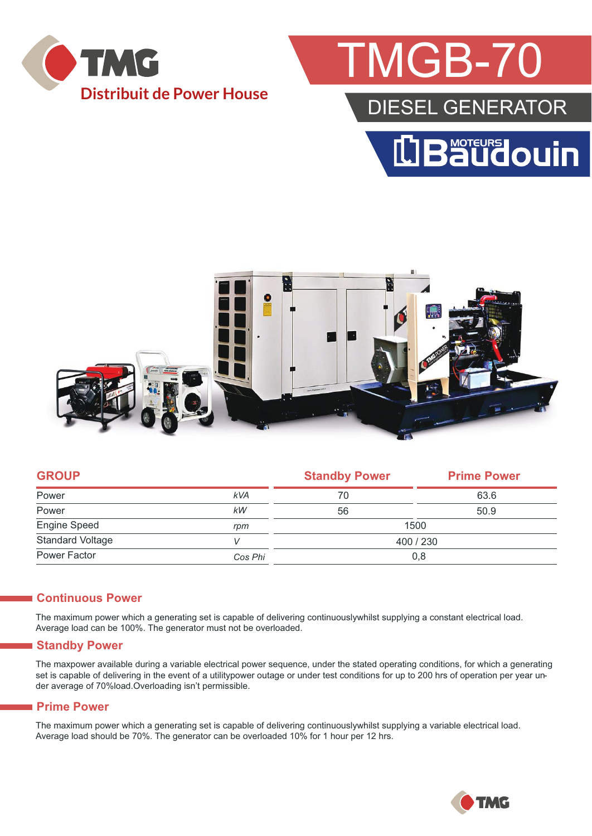

## **MGB-70**

### DIESEL GENERATOR





| <b>GROUP</b>            |            | <b>Standby Power</b> | <b>Prime Power</b> |  |
|-------------------------|------------|----------------------|--------------------|--|
| Power                   | <b>kVA</b> | 70                   | 63.6               |  |
| Power                   | kW         | 56                   | 50.9               |  |
| Engine Speed            | rpm        | 1500                 |                    |  |
| <b>Standard Voltage</b> |            | 400 / 230            |                    |  |
| Power Factor            | Cos Phi    | 0,8                  |                    |  |
|                         |            |                      |                    |  |

#### **Continuous Power**

The maximum power which a generating set is capable of delivering continuouslywhilst supplying a constant electrical load. Average load can be 100%. The generator must not be overloaded.

#### **Standby Power**

The maxpower available during a variable electrical power sequence, under the stated operating conditions, for which a generating set is capable of delivering in the event of a utilitypower outage or under test conditions for up to 200 hrs of operation per year under average of 70%load.Overloading isn't permissible.

#### **Prime Power**

The maximum power which a generating set is capable of delivering continuouslywhilst supplying a variable electrical load. Average load should be 70%. The generator can be overloaded 10% for 1 hour per 12 hrs.

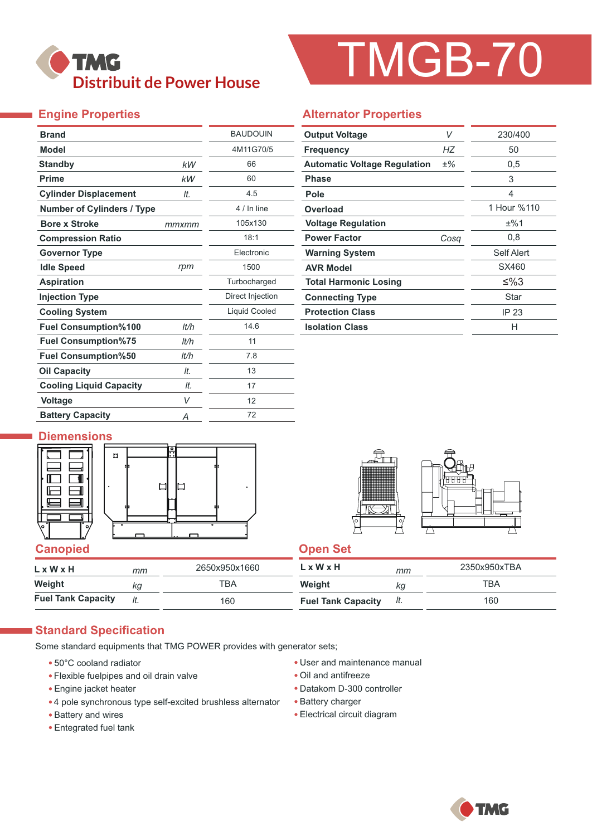

# TMGB-70

#### **Engine Properties**

| <b>Brand</b>                      |       | <b>BAUDOUIN</b>      |  |  |
|-----------------------------------|-------|----------------------|--|--|
| <b>Model</b>                      |       | 4M11G70/5            |  |  |
| <b>Standby</b>                    | kW    | 66                   |  |  |
| <b>Prime</b>                      | kW    | 60                   |  |  |
| <b>Cylinder Displacement</b>      | It.   | 4.5                  |  |  |
| <b>Number of Cylinders / Type</b> |       | 4 / In line          |  |  |
| <b>Bore x Stroke</b>              | mmxmm | 105x130              |  |  |
| <b>Compression Ratio</b>          |       | 18:1                 |  |  |
| <b>Governor Type</b>              |       | Electronic           |  |  |
| <b>Idle Speed</b>                 | rpm   | 1500                 |  |  |
| <b>Aspiration</b>                 |       | Turbocharged         |  |  |
| <b>Injection Type</b>             |       | Direct Injection     |  |  |
| <b>Cooling System</b>             |       | <b>Liquid Cooled</b> |  |  |
| <b>Fuel Consumption%100</b>       | lt/h  | 14.6                 |  |  |
| <b>Fuel Consumption%75</b>        | lt/h  | 11                   |  |  |
| <b>Fuel Consumption%50</b>        | It/h  | 7.8                  |  |  |
| <b>Oil Capacity</b>               | It.   | 13                   |  |  |
| <b>Cooling Liquid Capacity</b>    | It.   | 17                   |  |  |
| <b>Voltage</b>                    | V     | 12                   |  |  |
| <b>Battery Capacity</b>           | Α     | 72                   |  |  |

#### **Alternator Properties**

| <b>Output Voltage</b>               | V    | 230/400     |  |  |
|-------------------------------------|------|-------------|--|--|
| <b>Frequency</b>                    | НZ   | 50          |  |  |
| <b>Automatic Voltage Regulation</b> | ±%   | 0.5         |  |  |
| <b>Phase</b>                        |      | 3           |  |  |
| Pole                                |      | 4           |  |  |
| Overload                            |      | 1 Hour %110 |  |  |
| <b>Voltage Regulation</b>           |      | ±%1         |  |  |
| <b>Power Factor</b>                 | Cosq | 0,8         |  |  |
| <b>Warning System</b>               |      | Self Alert  |  |  |
| <b>AVR Model</b>                    |      | SX460       |  |  |
| <b>Total Harmonic Losing</b>        |      | ≤%3         |  |  |
| <b>Connecting Type</b>              |      | Star        |  |  |
| <b>Protection Class</b>             |      | IP 23       |  |  |
| <b>Isolation Class</b>              |      | н           |  |  |

#### **Diemensions**





| L x W x H                 | mm  | 2650x950x1660 | L x W x H                 | mm  | 2350x950xTBA |
|---------------------------|-----|---------------|---------------------------|-----|--------------|
| Weight                    | Кq  | ⊤вд           | Weight                    | ΚG  | TBA          |
| <b>Fuel Tank Capacity</b> | It. | 160           | <b>Fuel Tank Capacity</b> | It. | 160          |

#### **Standard Specification**

Some standard equipments that TMG POWER provides with generator sets;

- 50°C cooland radiator
- Flexible fuelpipes and oil drain valve
- Engine jacket heater
- 4 pole synchronous type self-excited brushless alternator
- Battery and wires
- Entegrated fuel tank
- User and maintenance manual
- Oil and antifreeze
- Datakom D-300 controller
- Battery charger
- Electrical circuit diagram